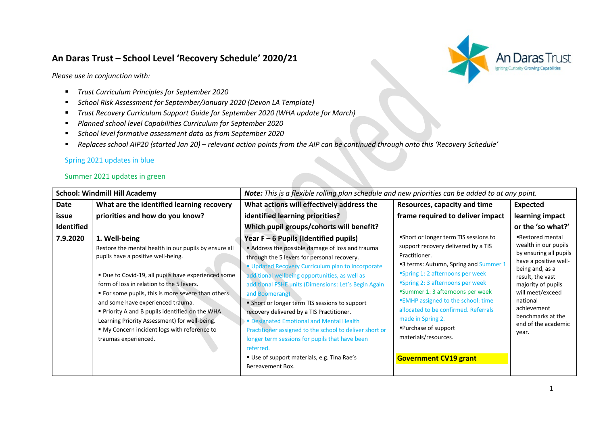# **An Daras Trust – School Level 'Recovery Schedule' 2020/21**



*Please use in conjunction with:* 

- § *Trust Curriculum Principles for September 2020*
- § *School Risk Assessment for September/January 2020 (Devon LA Template)*
- § *Trust Recovery Curriculum Support Guide for September 2020 (WHA update for March)*
- § *Planned school level Capabilities Curriculum for September 2020*
- § *School level formative assessment data as from September 2020*
- § *Replaces school AIP20 (started Jan 20) – relevant action points from the AIP can be continued through onto this 'Recovery Schedule'*

# Spring 2021 updates in blue

## Summer 2021 updates in green

| What are the identified learning recovery<br>What actions will effectively address the<br>Date<br>Resources, capacity and time<br><b>Expected</b><br>priorities and how do you know?<br>identified learning priorities?<br>frame required to deliver impact<br>issue<br><b>Identified</b><br>Which pupil groups/cohorts will benefit?<br>Short or longer term TIS sessions to<br>7.9.2020<br>1. Well-being<br>Year $F - 6$ Pupils (Identified pupils)<br>support recovery delivered by a TIS<br>Address the possible damage of loss and trauma<br>Restore the mental health in our pupils by ensure all<br>Practitioner.<br>pupils have a positive well-being.<br>through the 5 levers for personal recovery.<br>■3 terms: Autumn, Spring and Summer 1<br>" Updated Recovery Curriculum plan to incorporate<br>"Spring 1: 2 afternoons per week<br>" Due to Covid-19, all pupils have experienced some<br>additional wellbeing opportunities, as well as<br>"Spring 2: 3 afternoons per week<br>form of loss in relation to the 5 levers.<br>additional PSHE units (Dimensions: Let's Begin Again<br>"Summer 1: 3 afternoons per week<br>• For some pupils, this is more severe than others<br>and Boomerang)<br><b>EMHP</b> assigned to the school: time<br>national<br>and some have experienced trauma.<br>• Short or longer term TIS sessions to support<br>achievement<br>allocated to be confirmed. Referrals<br>• Priority A and B pupils identified on the WHA<br>recovery delivered by a TIS Practitioner.<br>made in Spring 2.<br>Learning Priority Assessment) for well-being.<br>• Designated Emotional and Mental Health<br>■Purchase of support<br>" My Concern incident logs with reference to<br>Practitioner assigned to the school to deliver short or<br>year.<br>materials/resources.<br>traumas experienced.<br>longer term sessions for pupils that have been<br>referred. | <b>School: Windmill Hill Academy</b> |  | Note: This is a flexible rolling plan schedule and new priorities can be added to at any point. |  |                                                                                                                                                                                                                          |
|--------------------------------------------------------------------------------------------------------------------------------------------------------------------------------------------------------------------------------------------------------------------------------------------------------------------------------------------------------------------------------------------------------------------------------------------------------------------------------------------------------------------------------------------------------------------------------------------------------------------------------------------------------------------------------------------------------------------------------------------------------------------------------------------------------------------------------------------------------------------------------------------------------------------------------------------------------------------------------------------------------------------------------------------------------------------------------------------------------------------------------------------------------------------------------------------------------------------------------------------------------------------------------------------------------------------------------------------------------------------------------------------------------------------------------------------------------------------------------------------------------------------------------------------------------------------------------------------------------------------------------------------------------------------------------------------------------------------------------------------------------------------------------------------------------------------------------------------------------------------------------------------------|--------------------------------------|--|-------------------------------------------------------------------------------------------------|--|--------------------------------------------------------------------------------------------------------------------------------------------------------------------------------------------------------------------------|
|                                                                                                                                                                                                                                                                                                                                                                                                                                                                                                                                                                                                                                                                                                                                                                                                                                                                                                                                                                                                                                                                                                                                                                                                                                                                                                                                                                                                                                                                                                                                                                                                                                                                                                                                                                                                                                                                                                  |                                      |  |                                                                                                 |  |                                                                                                                                                                                                                          |
|                                                                                                                                                                                                                                                                                                                                                                                                                                                                                                                                                                                                                                                                                                                                                                                                                                                                                                                                                                                                                                                                                                                                                                                                                                                                                                                                                                                                                                                                                                                                                                                                                                                                                                                                                                                                                                                                                                  |                                      |  |                                                                                                 |  | learning impact                                                                                                                                                                                                          |
|                                                                                                                                                                                                                                                                                                                                                                                                                                                                                                                                                                                                                                                                                                                                                                                                                                                                                                                                                                                                                                                                                                                                                                                                                                                                                                                                                                                                                                                                                                                                                                                                                                                                                                                                                                                                                                                                                                  |                                      |  |                                                                                                 |  | or the 'so what?'                                                                                                                                                                                                        |
| " Use of support materials, e.g. Tina Rae's<br><b>Government CV19 grant</b><br>Bereavement Box.                                                                                                                                                                                                                                                                                                                                                                                                                                                                                                                                                                                                                                                                                                                                                                                                                                                                                                                                                                                                                                                                                                                                                                                                                                                                                                                                                                                                                                                                                                                                                                                                                                                                                                                                                                                                  |                                      |  |                                                                                                 |  | ■Restored mental<br>wealth in our pupils<br>by ensuring all pupils<br>have a positive well-<br>being and, as a<br>result, the vast<br>majority of pupils<br>will meet/exceed<br>benchmarks at the<br>end of the academic |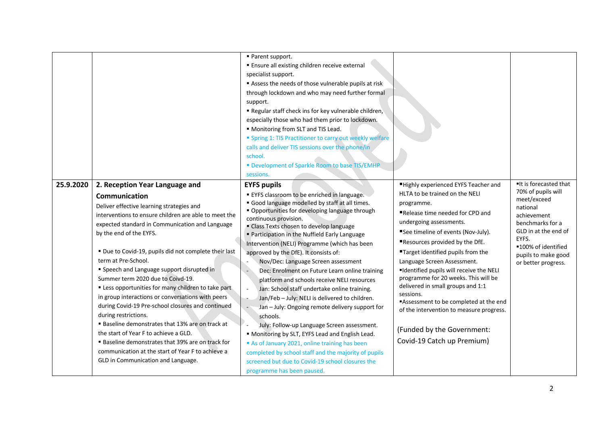|           |                                                                                                                                                                                                                                                                                                                                                                                                                                                                                                                                                                                                                                                                                                                                                                                                                                                               | Parent support.<br><b>Ensure all existing children receive external</b><br>specialist support.<br>Assess the needs of those vulnerable pupils at risk<br>through lockdown and who may need further formal<br>support.<br>Regular staff check ins for key vulnerable children,<br>especially those who had them prior to lockdown.<br>" Monitoring from SLT and TIS Lead.<br><b>Spring 1: TIS Practitioner to carry out weekly welfare</b><br>calls and deliver TIS sessions over the phone/in<br>school.<br>" Development of Sparkle Room to base TIS/EMHP<br>sessions.                                                                                                                                                                                                                                                                                                                                                                                                                                 |                                                                                                                                                                                                                                                                                                                                                                                                                                                                                                                                                                                                 |                                                                                                                                                                                                                 |
|-----------|---------------------------------------------------------------------------------------------------------------------------------------------------------------------------------------------------------------------------------------------------------------------------------------------------------------------------------------------------------------------------------------------------------------------------------------------------------------------------------------------------------------------------------------------------------------------------------------------------------------------------------------------------------------------------------------------------------------------------------------------------------------------------------------------------------------------------------------------------------------|---------------------------------------------------------------------------------------------------------------------------------------------------------------------------------------------------------------------------------------------------------------------------------------------------------------------------------------------------------------------------------------------------------------------------------------------------------------------------------------------------------------------------------------------------------------------------------------------------------------------------------------------------------------------------------------------------------------------------------------------------------------------------------------------------------------------------------------------------------------------------------------------------------------------------------------------------------------------------------------------------------|-------------------------------------------------------------------------------------------------------------------------------------------------------------------------------------------------------------------------------------------------------------------------------------------------------------------------------------------------------------------------------------------------------------------------------------------------------------------------------------------------------------------------------------------------------------------------------------------------|-----------------------------------------------------------------------------------------------------------------------------------------------------------------------------------------------------------------|
| 25.9.2020 | 2. Reception Year Language and<br><b>Communication</b><br>Deliver effective learning strategies and<br>interventions to ensure children are able to meet the<br>expected standard in Communication and Language<br>by the end of the EYFS.<br>" Due to Covid-19, pupils did not complete their last<br>term at Pre-School.<br>" Speech and Language support disrupted in<br>Summer term 2020 due to Coivd-19.<br>" Less opportunities for many children to take part<br>in group interactions or conversations with peers<br>during Covid-19 Pre-school closures and continued<br>during restrictions.<br><b>Baseline demonstrates that 13% are on track at</b><br>the start of Year F to achieve a GLD.<br><b>Baseline demonstrates that 39% are on track for</b><br>communication at the start of Year F to achieve a<br>GLD in Communication and Language. | <b>EYFS pupils</b><br>■ EYFS classroom to be enriched in language.<br>Good language modelled by staff at all times.<br>" Opportunities for developing language through<br>continuous provision.<br>" Class Texts chosen to develop language<br>" Participation in the Nuffield Early Language<br>Intervention (NELI) Programme (which has been<br>approved by the DfE). It consists of:<br>Nov/Dec: Language Screen assessment<br>Dec: Enrolment on Future Learn online training<br>platform and schools receive NELI resources<br>Jan: School staff undertake online training.<br>$\sim$<br>Jan/Feb - July: NELI is delivered to children.<br>Jan - July: Ongoing remote delivery support for<br>schools.<br>July: Follow-up Language Screen assessment.<br>" Monitoring by SLT, EYFS Lead and English Lead.<br>As of January 2021, online training has been<br>completed by school staff and the majority of pupils<br>screened but due to Covid-19 school closures the<br>programme has been paused. | "Highly experienced EYFS Teacher and<br>HLTA to be trained on the NELI<br>programme.<br>Release time needed for CPD and<br>undergoing assessments.<br>See timeline of events (Nov-July).<br><b>"Resources provided by the DfE.</b><br>"Target identified pupils from the<br>Language Screen Assessment.<br>"Identified pupils will receive the NELI<br>programme for 20 weeks. This will be<br>delivered in small groups and 1:1<br>sessions.<br>"Assessment to be completed at the end<br>of the intervention to measure progress.<br>(Funded by the Government:<br>Covid-19 Catch up Premium) | It is forecasted that<br>70% of pupils will<br>meet/exceed<br>national<br>achievement<br>benchmarks for a<br>GLD in at the end of<br>EYFS.<br>■100% of identified<br>pupils to make good<br>or better progress. |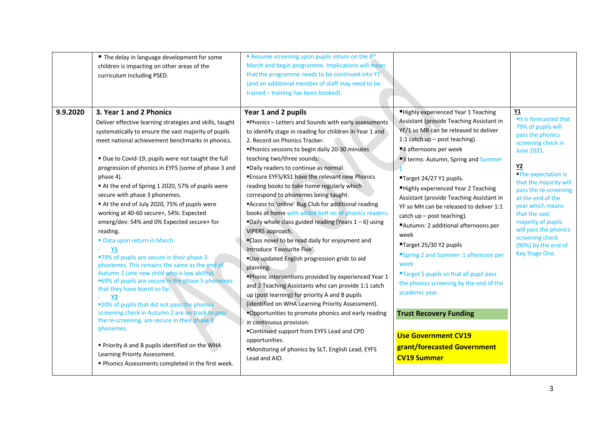| 9.9.2020 | ■ The delay in language development for some<br>children is impacting on other areas of the<br>curriculum including PSED.<br>3. Year 1 and 2 Phonics<br>Deliver effective learning strategies and skills, taught<br>systematically to ensure the vast majority of pupils<br>meet national achievement benchmarks in phonics.<br>" Due to Covid-19, pupils were not taught the full<br>progression of phonics in EYFS (some of phase 3 and<br>phase 4).<br>At the end of Spring 1 2020, 57% of pupils were<br>secure with phase 3 phonemes.<br>At the end of July 2020, 75% of pupils were<br>working at 40-60 secure+, 54%: Expected<br>emerg/dev: 54% and 0% Expected secure+ for<br>reading.<br>" Data upon return in March:<br><b>Y1</b> | " Resume screening upon pupils return on the 8th<br>March and begin programme. Implications will mean<br>that the programme needs to be continued into Y1<br>(and an additional member of staff may need to be<br>trained - training has been booked).<br>Year 1 and 2 pupils<br>"Phonics - Letters and Sounds with early assessments<br>to identify stage in reading for children in Year 1 and<br>2. Record on Phonics Tracker.<br>"Phonics sessions to begin daily 20-30 minutes<br>teaching two/three sounds.<br>"Daily readers to continue as normal.<br>"Ensure EYFS/KS1 have the relevant new Phonics<br>reading books to take home regularly which<br>correspond to phonemes being taught.<br>"Access to 'online' Bug Club for additional reading<br>books at home with added bolt on of phonics readers.<br>"Daily whole class guided reading (Years $1-6$ ) using<br>VIPERS approach.<br>"Class novel to be read daily for enjoyment and<br>introduce 'Favourite Five'. | "Highly experienced Year 1 Teaching<br>Assistant (provide Teaching Assistant in<br>YF/1 so MB can be released to deliver<br>1:1 catch $up - post$ teaching).<br>■4 afternoons per week<br>"3 terms: Autumn, Spring and Summer<br>"Target 24/27 Y1 pupils.<br>■Highly experienced Year 2 Teaching<br>Assistant (provide Teaching Assistant in<br>YF so MH can be released to deliver 1:1<br>catch up - post teaching).<br>■Autumn: 2 additional afternoons per<br>week<br>■Target 25/30 Y2 pupils<br>"Spring 2 and Summer: 1 afternoon per | Y1<br>"It is forecasted that<br>79% of pupils will<br>pass the phonics<br>screening check in<br>June 2021.<br>Y <sub>2</sub><br><b>The expectation is</b><br>that the majority will<br>pass the re-screening<br>at the end of the<br>year which means<br>that the vast<br>majority of pupils<br>will pass the phonics<br>screening check<br>(90%) by the end of<br>Key Stage One. |
|----------|---------------------------------------------------------------------------------------------------------------------------------------------------------------------------------------------------------------------------------------------------------------------------------------------------------------------------------------------------------------------------------------------------------------------------------------------------------------------------------------------------------------------------------------------------------------------------------------------------------------------------------------------------------------------------------------------------------------------------------------------|-----------------------------------------------------------------------------------------------------------------------------------------------------------------------------------------------------------------------------------------------------------------------------------------------------------------------------------------------------------------------------------------------------------------------------------------------------------------------------------------------------------------------------------------------------------------------------------------------------------------------------------------------------------------------------------------------------------------------------------------------------------------------------------------------------------------------------------------------------------------------------------------------------------------------------------------------------------------------------------|-------------------------------------------------------------------------------------------------------------------------------------------------------------------------------------------------------------------------------------------------------------------------------------------------------------------------------------------------------------------------------------------------------------------------------------------------------------------------------------------------------------------------------------------|-----------------------------------------------------------------------------------------------------------------------------------------------------------------------------------------------------------------------------------------------------------------------------------------------------------------------------------------------------------------------------------|
|          | "79% of pupils are secure in their phase 3<br>phonemes. This remains the same as the end of<br>Autumn 2 (one new child who is low ability).<br>■69% of pupils are secure in the phase 5 phonemes<br>that they have learnt so far.<br><b>Y2</b><br>"20% of pupils that did not pass the phonics"<br>screening check in Autumn 2 are on track to pass<br>the re-screening. are secure in their phase 3<br>phonemes.<br>" Priority A and B pupils identified on the WHA<br>Learning Priority Assessment.<br>" Phonics Assessments completed in the first week.                                                                                                                                                                                 | "Use updated English progression grids to aid<br>planning.<br>"Phonic interventions provided by experienced Year 1<br>and 2 Teaching Assistants who can provide 1:1 catch<br>up (post learning) for priority A and B pupils<br>(identified on WHA Learning Priority Assessment).<br>"Opportunities to promote phonics and early reading<br>in continuous provision.<br>"Continued support from EYFS Lead and CPD<br>opportunities.<br>"Monitoring of phonics by SLT, English Lead, EYFS<br>Lead and AIO.                                                                                                                                                                                                                                                                                                                                                                                                                                                                          | week<br>"Target 5 pupils so that all pupil pass<br>the phonics screening by the end of the<br>academic year.<br><b>Trust Recovery Funding</b><br><b>Use Government CV19</b><br>grant/forecasted Government<br><b>CV19 Summer</b>                                                                                                                                                                                                                                                                                                          |                                                                                                                                                                                                                                                                                                                                                                                   |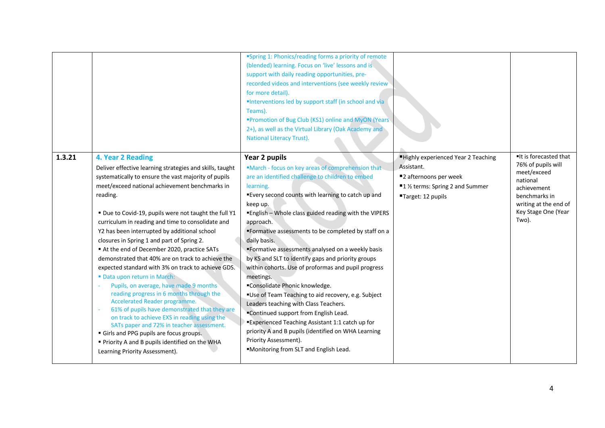|        |                                                                                                                                                                                                                                                                                                                                                                                                                                                                                                                                                                                                                                                                                                                                                                                                                                                                                                                                                                                                                      | "Spring 1: Phonics/reading forms a priority of remote<br>(blended) learning. Focus on 'live' lessons and is<br>support with daily reading opportunities, pre-<br>recorded videos and interventions (see weekly review)<br>for more detail).<br>"Interventions led by support staff (in school and via<br>Teams).<br>"Promotion of Bug Club (KS1) online and MyON (Years<br>2+), as well as the Virtual Library (Oak Academy and<br><b>National Literacy Trust).</b>                                                                                                                                                                                                                                                                                                                                                                                                                         |                                                                                                                                     |                                                                                                                                                                 |
|--------|----------------------------------------------------------------------------------------------------------------------------------------------------------------------------------------------------------------------------------------------------------------------------------------------------------------------------------------------------------------------------------------------------------------------------------------------------------------------------------------------------------------------------------------------------------------------------------------------------------------------------------------------------------------------------------------------------------------------------------------------------------------------------------------------------------------------------------------------------------------------------------------------------------------------------------------------------------------------------------------------------------------------|---------------------------------------------------------------------------------------------------------------------------------------------------------------------------------------------------------------------------------------------------------------------------------------------------------------------------------------------------------------------------------------------------------------------------------------------------------------------------------------------------------------------------------------------------------------------------------------------------------------------------------------------------------------------------------------------------------------------------------------------------------------------------------------------------------------------------------------------------------------------------------------------|-------------------------------------------------------------------------------------------------------------------------------------|-----------------------------------------------------------------------------------------------------------------------------------------------------------------|
| 1.3.21 | 4. Year 2 Reading<br>Deliver effective learning strategies and skills, taught<br>systematically to ensure the vast majority of pupils<br>meet/exceed national achievement benchmarks in<br>reading.<br>" Due to Covid-19, pupils were not taught the full Y1<br>curriculum in reading and time to consolidate and<br>Y2 has been interrupted by additional school<br>closures in Spring 1 and part of Spring 2.<br>At the end of December 2020, practice SATs<br>demonstrated that 40% are on track to achieve the<br>expected standard with 3% on track to achieve GDS.<br>Data upon return in March:<br>Pupils, on average, have made 9 months<br>$\sim$<br>reading progress in 6 months through the<br>Accelerated Reader programme.<br>61% of pupils have demonstrated that they are<br>on track to achieve EXS in reading using the<br>SATs paper and 72% in teacher assessment.<br>Girls and PPG pupils are focus groups.<br>" Priority A and B pupils identified on the WHA<br>Learning Priority Assessment). | Year 2 pupils<br>"March - focus on key areas of comprehension that<br>are an identified challenge to children to embed<br>learning.<br>"Every second counts with learning to catch up and<br>keep up.<br>"English - Whole class guided reading with the VIPERS<br>approach.<br>"Formative assessments to be completed by staff on a<br>daily basis.<br>"Formative assessments analysed on a weekly basis<br>by KS and SLT to identify gaps and priority groups<br>within cohorts. Use of proformas and pupil progress<br>meetings.<br>"Consolidate Phonic knowledge.<br>"Use of Team Teaching to aid recovery, e.g. Subject<br>Leaders teaching with Class Teachers.<br>"Continued support from English Lead.<br>"Experienced Teaching Assistant 1:1 catch up for<br>priority A and B pupils (identified on WHA Learning<br>Priority Assessment).<br>"Monitoring from SLT and English Lead. | Highly experienced Year 2 Teaching<br>Assistant.<br>■2 afternoons per week<br>■1 ½ terms: Spring 2 and Summer<br>"Target: 12 pupils | It is forecasted that<br>76% of pupils will<br>meet/exceed<br>national<br>achievement<br>benchmarks in<br>writing at the end of<br>Key Stage One (Year<br>Two). |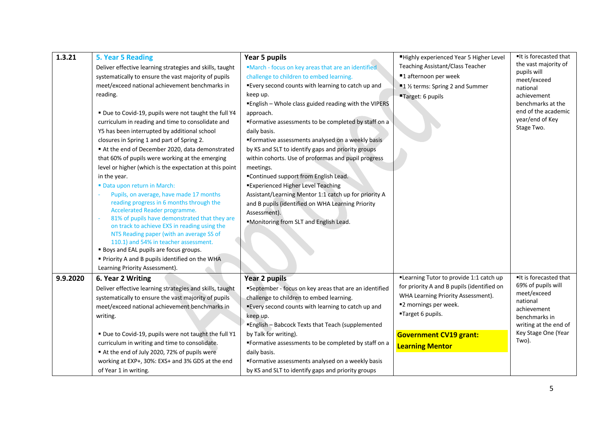| 1.3.21   | 5. Year 5 Reading<br>Deliver effective learning strategies and skills, taught<br>systematically to ensure the vast majority of pupils<br>meet/exceed national achievement benchmarks in<br>reading.<br>■ Due to Covid-19, pupils were not taught the full Y4<br>curriculum in reading and time to consolidate and<br>Y5 has been interrupted by additional school<br>closures in Spring 1 and part of Spring 2.<br>At the end of December 2020, data demonstrated<br>that 60% of pupils were working at the emerging<br>level or higher (which is the expectation at this point<br>in the year. | Year 5 pupils<br>"March - focus on key areas that are an identified<br>challenge to children to embed learning.<br>"Every second counts with learning to catch up and<br>keep up.<br>"English - Whole class guided reading with the VIPERS<br>approach.<br>"Formative assessments to be completed by staff on a<br>daily basis.<br>"Formative assessments analysed on a weekly basis<br>by KS and SLT to identify gaps and priority groups<br>within cohorts. Use of proformas and pupil progress<br>meetings.<br>■Continued support from English Lead. | ■Highly experienced Year 5 Higher Level<br>Teaching Assistant/Class Teacher<br>■1 afternoon per week<br>■1 ½ terms: Spring 2 and Summer<br>"Target: 6 pupils                                                                         | ■It is forecasted that<br>the vast majority of<br>pupils will<br>meet/exceed<br>national<br>achievement<br>benchmarks at the<br>end of the academic<br>year/end of Key<br>Stage Two. |
|----------|-------------------------------------------------------------------------------------------------------------------------------------------------------------------------------------------------------------------------------------------------------------------------------------------------------------------------------------------------------------------------------------------------------------------------------------------------------------------------------------------------------------------------------------------------------------------------------------------------|---------------------------------------------------------------------------------------------------------------------------------------------------------------------------------------------------------------------------------------------------------------------------------------------------------------------------------------------------------------------------------------------------------------------------------------------------------------------------------------------------------------------------------------------------------|--------------------------------------------------------------------------------------------------------------------------------------------------------------------------------------------------------------------------------------|--------------------------------------------------------------------------------------------------------------------------------------------------------------------------------------|
|          | " Data upon return in March:<br>Pupils, on average, have made 17 months<br>reading progress in 6 months through the<br>Accelerated Reader programme.<br>81% of pupils have demonstrated that they are<br>on track to achieve EXS in reading using the<br>NTS Reading paper (with an average SS of<br>110.1) and 54% in teacher assessment.<br><b>Boys and EAL pupils are focus groups.</b><br>Priority A and B pupils identified on the WHA<br>Learning Priority Assessment).                                                                                                                   | <b>Experienced Higher Level Teaching</b><br>Assistant/Learning Mentor 1:1 catch up for priority A<br>and B pupils (identified on WHA Learning Priority<br>Assessment).<br>"Monitoring from SLT and English Lead.                                                                                                                                                                                                                                                                                                                                        |                                                                                                                                                                                                                                      |                                                                                                                                                                                      |
| 9.9.2020 | 6. Year 2 Writing<br>Deliver effective learning strategies and skills, taught<br>systematically to ensure the vast majority of pupils<br>meet/exceed national achievement benchmarks in<br>writing.<br>■ Due to Covid-19, pupils were not taught the full Y1<br>curriculum in writing and time to consolidate.<br>At the end of July 2020, 72% of pupils were<br>working at EXP+, 30%: EXS+ and 3% GDS at the end<br>of Year 1 in writing.                                                                                                                                                      | Year 2 pupils<br>"September - focus on key areas that are an identified<br>challenge to children to embed learning.<br>"Every second counts with learning to catch up and<br>keep up.<br><b>English - Babcock Texts that Teach (supplemented</b><br>by Talk for writing).<br>"Formative assessments to be completed by staff on a<br>daily basis.<br>"Formative assessments analysed on a weekly basis<br>by KS and SLT to identify gaps and priority groups                                                                                            | "Learning Tutor to provide 1:1 catch up<br>for priority A and B pupils (identified on<br>WHA Learning Priority Assessment).<br>■2 mornings per week.<br>"Target 6 pupils.<br><b>Government CV19 grant:</b><br><b>Learning Mentor</b> | It is forecasted that<br>69% of pupils will<br>meet/exceed<br>national<br>achievement<br>benchmarks in<br>writing at the end of<br>Key Stage One (Year<br>Two).                      |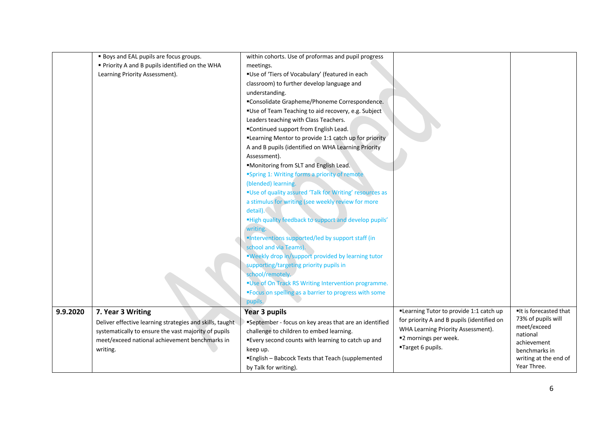|          | <b>Boys and EAL pupils are focus groups.</b>             | within cohorts. Use of proformas and pupil progress     |                                                                                  |                                             |
|----------|----------------------------------------------------------|---------------------------------------------------------|----------------------------------------------------------------------------------|---------------------------------------------|
|          | Priority A and B pupils identified on the WHA            | meetings.                                               |                                                                                  |                                             |
|          | Learning Priority Assessment).                           | "Use of 'Tiers of Vocabulary' (featured in each         |                                                                                  |                                             |
|          |                                                          | classroom) to further develop language and              |                                                                                  |                                             |
|          |                                                          | understanding.                                          |                                                                                  |                                             |
|          |                                                          | "Consolidate Grapheme/Phoneme Correspondence.           |                                                                                  |                                             |
|          |                                                          | "Use of Team Teaching to aid recovery, e.g. Subject     |                                                                                  |                                             |
|          |                                                          | Leaders teaching with Class Teachers.                   |                                                                                  |                                             |
|          |                                                          | "Continued support from English Lead.                   |                                                                                  |                                             |
|          |                                                          | "Learning Mentor to provide 1:1 catch up for priority   |                                                                                  |                                             |
|          |                                                          | A and B pupils (identified on WHA Learning Priority     |                                                                                  |                                             |
|          |                                                          | Assessment).                                            |                                                                                  |                                             |
|          |                                                          | "Monitoring from SLT and English Lead.                  |                                                                                  |                                             |
|          |                                                          | "Spring 1: Writing forms a priority of remote           |                                                                                  |                                             |
|          |                                                          | (blended) learning.                                     |                                                                                  |                                             |
|          |                                                          | "Use of quality assured 'Talk for Writing' resources as |                                                                                  |                                             |
|          |                                                          | a stimulus for writing (see weekly review for more      |                                                                                  |                                             |
|          |                                                          | detail).                                                |                                                                                  |                                             |
|          |                                                          | "High quality feedback to support and develop pupils'   |                                                                                  |                                             |
|          |                                                          | writing.                                                |                                                                                  |                                             |
|          |                                                          | "Interventions supported/led by support staff (in       |                                                                                  |                                             |
|          |                                                          | school and via Teams).                                  |                                                                                  |                                             |
|          |                                                          | "Weekly drop in/support provided by learning tutor      |                                                                                  |                                             |
|          |                                                          | supporting/targeting priority pupils in                 |                                                                                  |                                             |
|          |                                                          | school/remotely.                                        |                                                                                  |                                             |
|          |                                                          | "Use of On Track RS Writing Intervention programme.     |                                                                                  |                                             |
|          |                                                          | "Focus on spelling as a barrier to progress with some   |                                                                                  |                                             |
|          |                                                          | pupils.                                                 |                                                                                  |                                             |
| 9.9.2020 | 7. Year 3 Writing                                        | <b>Year 3 pupils</b>                                    | "Learning Tutor to provide 1:1 catch up                                          | It is forecasted that<br>73% of pupils will |
|          | Deliver effective learning strategies and skills, taught | "September - focus on key areas that are an identified  | for priority A and B pupils (identified on<br>WHA Learning Priority Assessment). | meet/exceed                                 |
|          | systematically to ensure the vast majority of pupils     | challenge to children to embed learning.                | "2 mornings per week.                                                            | national                                    |
|          | meet/exceed national achievement benchmarks in           | "Every second counts with learning to catch up and      | "Target 6 pupils.                                                                | achievement                                 |
|          | writing.                                                 | keep up.                                                |                                                                                  | benchmarks in                               |
|          |                                                          | "English - Babcock Texts that Teach (supplemented       |                                                                                  | writing at the end of<br>Year Three.        |
|          |                                                          | by Talk for writing).                                   |                                                                                  |                                             |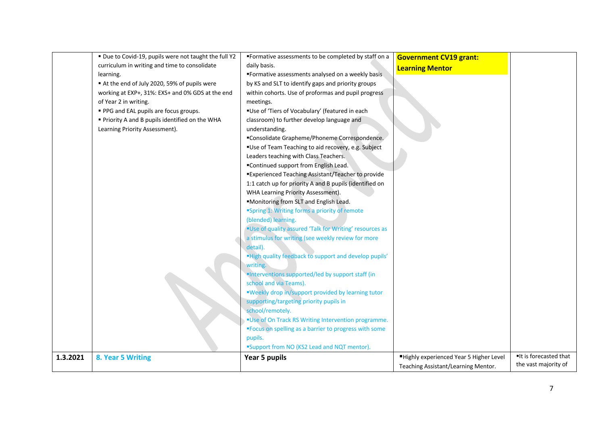|          | " Due to Covid-19, pupils were not taught the full Y2 | "Formative assessments to be completed by staff on a    | <b>Government CV19 grant:</b>          |                       |
|----------|-------------------------------------------------------|---------------------------------------------------------|----------------------------------------|-----------------------|
|          | curriculum in writing and time to consolidate         | daily basis.                                            | <b>Learning Mentor</b>                 |                       |
|          | learning.                                             | "Formative assessments analysed on a weekly basis       |                                        |                       |
|          | At the end of July 2020, 59% of pupils were           | by KS and SLT to identify gaps and priority groups      |                                        |                       |
|          | working at EXP+, 31%: EXS+ and 0% GDS at the end      | within cohorts. Use of proformas and pupil progress     |                                        |                       |
|          | of Year 2 in writing.                                 | meetings.                                               |                                        |                       |
|          | • PPG and EAL pupils are focus groups.                | "Use of 'Tiers of Vocabulary' (featured in each         |                                        |                       |
|          | Priority A and B pupils identified on the WHA         | classroom) to further develop language and              |                                        |                       |
|          | Learning Priority Assessment).                        | understanding.                                          |                                        |                       |
|          |                                                       | "Consolidate Grapheme/Phoneme Correspondence.           |                                        |                       |
|          |                                                       | "Use of Team Teaching to aid recovery, e.g. Subject     |                                        |                       |
|          |                                                       | Leaders teaching with Class Teachers.                   |                                        |                       |
|          |                                                       | "Continued support from English Lead.                   |                                        |                       |
|          |                                                       | "Experienced Teaching Assistant/Teacher to provide      |                                        |                       |
|          |                                                       | 1:1 catch up for priority A and B pupils (identified on |                                        |                       |
|          |                                                       | WHA Learning Priority Assessment).                      |                                        |                       |
|          |                                                       | "Monitoring from SLT and English Lead.                  |                                        |                       |
|          |                                                       | "Spring 1: Writing forms a priority of remote           |                                        |                       |
|          |                                                       | (blended) learning.                                     |                                        |                       |
|          |                                                       | "Use of quality assured 'Talk for Writing' resources as |                                        |                       |
|          |                                                       | a stimulus for writing (see weekly review for more      |                                        |                       |
|          |                                                       | detail).                                                |                                        |                       |
|          |                                                       | "High quality feedback to support and develop pupils'   |                                        |                       |
|          |                                                       | writing.                                                |                                        |                       |
|          |                                                       | "Interventions supported/led by support staff (in       |                                        |                       |
|          |                                                       | school and via Teams).                                  |                                        |                       |
|          |                                                       | "Weekly drop in/support provided by learning tutor      |                                        |                       |
|          |                                                       | supporting/targeting priority pupils in                 |                                        |                       |
|          |                                                       | school/remotely.                                        |                                        |                       |
|          |                                                       | "Use of On Track RS Writing Intervention programme.     |                                        |                       |
|          |                                                       | "Focus on spelling as a barrier to progress with some   |                                        |                       |
|          |                                                       | pupils.                                                 |                                        |                       |
|          |                                                       | "Support from NO (KS2 Lead and NQT mentor).             |                                        |                       |
| 1.3.2021 | 8. Year 5 Writing                                     | Year 5 pupils                                           | Highly experienced Year 5 Higher Level | It is forecasted that |
|          |                                                       |                                                         | Teaching Assistant/Learning Mentor.    | the vast majority of  |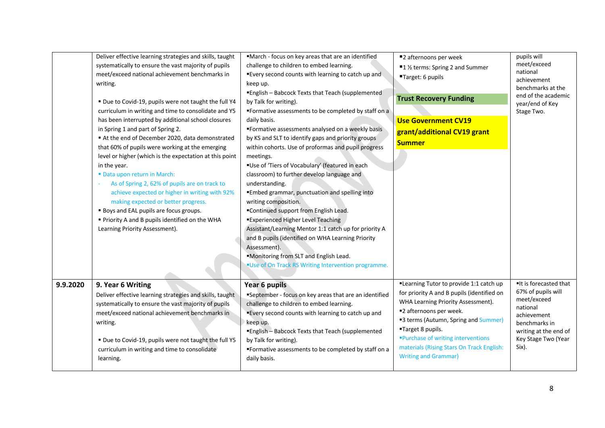|          | Deliver effective learning strategies and skills, taught<br>systematically to ensure the vast majority of pupils<br>meet/exceed national achievement benchmarks in<br>writing.<br>" Due to Covid-19, pupils were not taught the full Y4<br>curriculum in writing and time to consolidate and Y5<br>has been interrupted by additional school closures<br>in Spring 1 and part of Spring 2.<br>At the end of December 2020, data demonstrated<br>that 60% of pupils were working at the emerging<br>level or higher (which is the expectation at this point<br>in the year.<br>" Data upon return in March:<br>As of Spring 2, 62% of pupils are on track to<br>achieve expected or higher in writing with 92%<br>making expected or better progress.<br><b>Boys and EAL pupils are focus groups.</b><br>Priority A and B pupils identified on the WHA<br>Learning Priority Assessment). | "March - focus on key areas that are an identified<br>challenge to children to embed learning.<br>"Every second counts with learning to catch up and<br>keep up.<br>"English - Babcock Texts that Teach (supplemented<br>by Talk for writing).<br>"Formative assessments to be completed by staff on a<br>daily basis.<br>"Formative assessments analysed on a weekly basis<br>by KS and SLT to identify gaps and priority groups<br>within cohorts. Use of proformas and pupil progress<br>meetings.<br>"Use of 'Tiers of Vocabulary' (featured in each<br>classroom) to further develop language and<br>understanding.<br>"Embed grammar, punctuation and spelling into<br>writing composition.<br>"Continued support from English Lead.<br><b>Experienced Higher Level Teaching</b><br>Assistant/Learning Mentor 1:1 catch up for priority A<br>and B pupils (identified on WHA Learning Priority<br>Assessment).<br>"Monitoring from SLT and English Lead.<br>"Use of On Track RS Writing Intervention programme. | ■2 afternoons per week<br>■1 ½ terms: Spring 2 and Summer<br>"Target: 6 pupils<br><b>Trust Recovery Funding</b><br><b>Use Government CV19</b><br>grant/additional CV19 grant<br><b>Summer</b>                                                                                                                                         | pupils will<br>meet/exceed<br>national<br>achievement<br>benchmarks at the<br>end of the academic<br>year/end of Key<br>Stage Two.                              |
|----------|-----------------------------------------------------------------------------------------------------------------------------------------------------------------------------------------------------------------------------------------------------------------------------------------------------------------------------------------------------------------------------------------------------------------------------------------------------------------------------------------------------------------------------------------------------------------------------------------------------------------------------------------------------------------------------------------------------------------------------------------------------------------------------------------------------------------------------------------------------------------------------------------|-----------------------------------------------------------------------------------------------------------------------------------------------------------------------------------------------------------------------------------------------------------------------------------------------------------------------------------------------------------------------------------------------------------------------------------------------------------------------------------------------------------------------------------------------------------------------------------------------------------------------------------------------------------------------------------------------------------------------------------------------------------------------------------------------------------------------------------------------------------------------------------------------------------------------------------------------------------------------------------------------------------------------|---------------------------------------------------------------------------------------------------------------------------------------------------------------------------------------------------------------------------------------------------------------------------------------------------------------------------------------|-----------------------------------------------------------------------------------------------------------------------------------------------------------------|
| 9.9.2020 | 9. Year 6 Writing<br>Deliver effective learning strategies and skills, taught<br>systematically to ensure the vast majority of pupils<br>meet/exceed national achievement benchmarks in<br>writing.<br>" Due to Covid-19, pupils were not taught the full Y5<br>curriculum in writing and time to consolidate<br>learning.                                                                                                                                                                                                                                                                                                                                                                                                                                                                                                                                                              | Year 6 pupils<br>"September - focus on key areas that are an identified<br>challenge to children to embed learning.<br>"Every second counts with learning to catch up and<br>keep up.<br>"English - Babcock Texts that Teach (supplemented<br>by Talk for writing).<br>"Formative assessments to be completed by staff on a<br>daily basis.                                                                                                                                                                                                                                                                                                                                                                                                                                                                                                                                                                                                                                                                           | "Learning Tutor to provide 1:1 catch up<br>for priority A and B pupils (identified on<br>WHA Learning Priority Assessment).<br>"2 afternoons per week.<br>"3 terms (Autumn, Spring and Summer)<br>"Target 8 pupils.<br>"Purchase of writing interventions<br>materials (Rising Stars On Track English:<br><b>Writing and Grammar)</b> | It is forecasted that<br>67% of pupils will<br>meet/exceed<br>national<br>achievement<br>benchmarks in<br>writing at the end of<br>Key Stage Two (Year<br>Six). |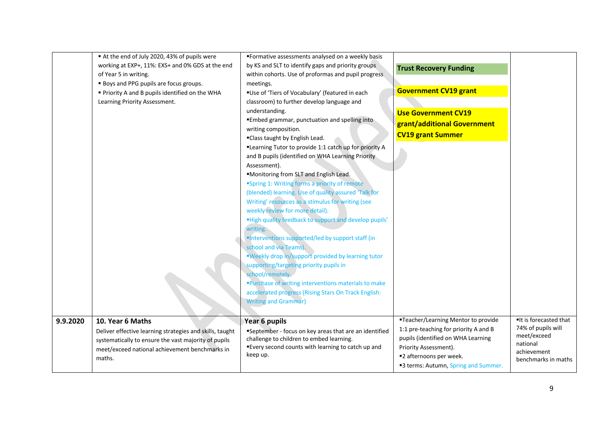|          | At the end of July 2020, 43% of pupils were<br>working at EXP+, 11%: EXS+ and 0% GDS at the end<br>of Year 5 in writing.<br><b>Boys and PPG pupils are focus groups.</b><br>" Priority A and B pupils identified on the WHA<br>Learning Priority Assessment. | "Formative assessments analysed on a weekly basis<br>by KS and SLT to identify gaps and priority groups<br>within cohorts. Use of proformas and pupil progress<br>meetings.<br>"Use of 'Tiers of Vocabulary' (featured in each<br>classroom) to further develop language and<br>understanding.<br>"Embed grammar, punctuation and spelling into<br>writing composition.<br>"Class taught by English Lead.<br>"Learning Tutor to provide 1:1 catch up for priority A                                                                                                                                                                                                                                                                  | <b>Trust Recovery Funding</b><br><b>Government CV19 grant</b><br><b>Use Government CV19</b><br>grant/additional Government<br><b>CV19 grant Summer</b>                                                         |                                                                                                              |
|----------|--------------------------------------------------------------------------------------------------------------------------------------------------------------------------------------------------------------------------------------------------------------|--------------------------------------------------------------------------------------------------------------------------------------------------------------------------------------------------------------------------------------------------------------------------------------------------------------------------------------------------------------------------------------------------------------------------------------------------------------------------------------------------------------------------------------------------------------------------------------------------------------------------------------------------------------------------------------------------------------------------------------|----------------------------------------------------------------------------------------------------------------------------------------------------------------------------------------------------------------|--------------------------------------------------------------------------------------------------------------|
|          |                                                                                                                                                                                                                                                              | and B pupils (identified on WHA Learning Priority<br>Assessment).<br>"Monitoring from SLT and English Lead.<br>"Spring 1: Writing forms a priority of remote<br>(blended) learning. Use of quality assured 'Talk for<br>Writing' resources as a stimulus for writing (see<br>weekly review for more detail).<br>"High quality feedback to support and develop pupils'<br>writing.<br>"Interventions supported/led by support staff (in<br>school and via Teams).<br>"Weekly drop in/support provided by learning tutor<br>supporting/targeting priority pupils in<br>school/remotely.<br>"Purchase of writing interventions materials to make<br>accelerated progress (Rising Stars On Track English:<br><b>Writing and Grammar)</b> |                                                                                                                                                                                                                |                                                                                                              |
| 9.9.2020 | 10. Year 6 Maths<br>Deliver effective learning strategies and skills, taught<br>systematically to ensure the vast majority of pupils<br>meet/exceed national achievement benchmarks in<br>maths.                                                             | Year 6 pupils<br>"September - focus on key areas that are an identified<br>challenge to children to embed learning.<br>"Every second counts with learning to catch up and<br>keep up.                                                                                                                                                                                                                                                                                                                                                                                                                                                                                                                                                | "Teacher/Learning Mentor to provide<br>1:1 pre-teaching for priority A and B<br>pupils (identified on WHA Learning<br>Priority Assessment).<br>■2 afternoons per week.<br>"3 terms: Autumn, Spring and Summer. | It is forecasted that<br>74% of pupils will<br>meet/exceed<br>national<br>achievement<br>benchmarks in maths |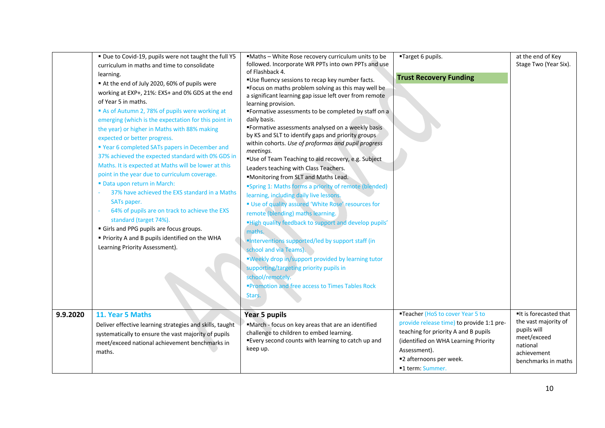|          | " Due to Covid-19, pupils were not taught the full Y5<br>curriculum in maths and time to consolidate<br>learning.<br>At the end of July 2020, 60% of pupils were<br>working at EXP+, 21%: EXS+ and 0% GDS at the end<br>of Year 5 in maths.<br>As of Autumn 2, 78% of pupils were working at<br>emerging (which is the expectation for this point in<br>the year) or higher in Maths with 88% making<br>expected or better progress.<br>" Year 6 completed SATs papers in December and<br>37% achieved the expected standard with 0% GDS in<br>Maths. It is expected at Maths will be lower at this<br>point in the year due to curriculum coverage.<br>" Data upon return in March:<br>37% have achieved the EXS standard in a Maths<br>SATs paper.<br>64% of pupils are on track to achieve the EXS<br>standard (target 74%).<br>Girls and PPG pupils are focus groups.<br>Priority A and B pupils identified on the WHA<br>Learning Priority Assessment). | ■Maths - White Rose recovery curriculum units to be<br>followed. Incorporate WR PPTs into own PPTs and use<br>of Flashback 4.<br>"Use fluency sessions to recap key number facts.<br>"Focus on maths problem solving as this may well be<br>a significant learning gap issue left over from remote<br>learning provision.<br>"Formative assessments to be completed by staff on a<br>daily basis.<br>"Formative assessments analysed on a weekly basis"<br>by KS and SLT to identify gaps and priority groups<br>within cohorts. Use of proformas and pupil progress<br>meetings.<br>"Use of Team Teaching to aid recovery, e.g. Subject<br>Leaders teaching with Class Teachers.<br>"Monitoring from SLT and Maths Lead.<br>"Spring 1: Maths forms a priority of remote (blended)<br>learning, including daily live lessons.<br>" Use of quality assured 'White Rose' resources for<br>remote (blending) maths learning.<br>"High quality feedback to support and develop pupils'<br>maths.<br>"Interventions supported/led by support staff (in<br>school and via Teams).<br>"Weekly drop in/support provided by learning tutor<br>supporting/targeting priority pupils in<br>school/remotely.<br>"Promotion and free access to Times Tables Rock<br>Stars. | "Target 6 pupils.<br><b>Trust Recovery Funding</b>                                                                                                                                                                           | at the end of Key<br>Stage Two (Year Six).                                                                                    |
|----------|--------------------------------------------------------------------------------------------------------------------------------------------------------------------------------------------------------------------------------------------------------------------------------------------------------------------------------------------------------------------------------------------------------------------------------------------------------------------------------------------------------------------------------------------------------------------------------------------------------------------------------------------------------------------------------------------------------------------------------------------------------------------------------------------------------------------------------------------------------------------------------------------------------------------------------------------------------------|---------------------------------------------------------------------------------------------------------------------------------------------------------------------------------------------------------------------------------------------------------------------------------------------------------------------------------------------------------------------------------------------------------------------------------------------------------------------------------------------------------------------------------------------------------------------------------------------------------------------------------------------------------------------------------------------------------------------------------------------------------------------------------------------------------------------------------------------------------------------------------------------------------------------------------------------------------------------------------------------------------------------------------------------------------------------------------------------------------------------------------------------------------------------------------------------------------------------------------------------------------------|------------------------------------------------------------------------------------------------------------------------------------------------------------------------------------------------------------------------------|-------------------------------------------------------------------------------------------------------------------------------|
| 9.9.2020 | 11. Year 5 Maths<br>Deliver effective learning strategies and skills, taught<br>systematically to ensure the vast majority of pupils<br>meet/exceed national achievement benchmarks in<br>maths.                                                                                                                                                                                                                                                                                                                                                                                                                                                                                                                                                                                                                                                                                                                                                             | Year 5 pupils<br>"March - focus on key areas that are an identified<br>challenge to children to embed learning.<br>"Every second counts with learning to catch up and<br>keep up.                                                                                                                                                                                                                                                                                                                                                                                                                                                                                                                                                                                                                                                                                                                                                                                                                                                                                                                                                                                                                                                                             | "Teacher (HoS to cover Year 5 to<br>provide release time) to provide 1:1 pre-<br>teaching for priority A and B pupils<br>(identified on WHA Learning Priority<br>Assessment).<br>■2 afternoons per week.<br>■1 term: Summer. | It is forecasted that<br>the vast majority of<br>pupils will<br>meet/exceed<br>national<br>achievement<br>benchmarks in maths |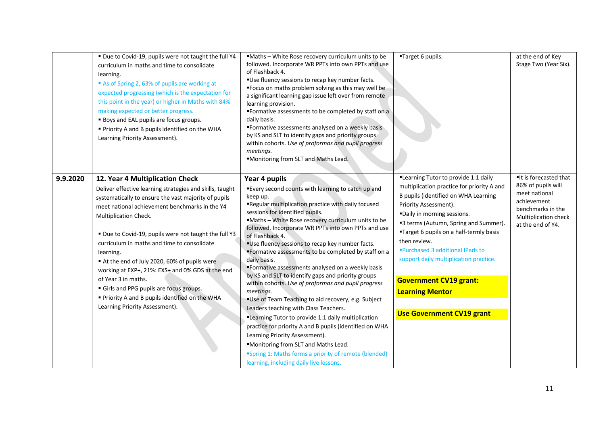|          | " Due to Covid-19, pupils were not taught the full Y4<br>curriculum in maths and time to consolidate<br>learning.<br>As of Spring 2, 63% of pupils are working at<br>expected progressing (which is the expectation for<br>this point in the year) or higher in Maths with 84%<br>making expected or better progress.<br><b>Boys and EAL pupils are focus groups.</b><br>Priority A and B pupils identified on the WHA<br>Learning Priority Assessment).                                                                                                                                                   | "Maths - White Rose recovery curriculum units to be<br>followed. Incorporate WR PPTs into own PPTs and use<br>of Flashback 4.<br>"Use fluency sessions to recap key number facts.<br>"Focus on maths problem solving as this may well be<br>a significant learning gap issue left over from remote<br>learning provision.<br>"Formative assessments to be completed by staff on a<br>daily basis.<br>"Formative assessments analysed on a weekly basis<br>by KS and SLT to identify gaps and priority groups<br>within cohorts. Use of proformas and pupil progress<br>meetings.<br>"Monitoring from SLT and Maths Lead.                                                                                                                                                                                                                                                                                                                                                                                               | "Target 6 pupils.                                                                                                                                                                                                                                                                                                                                                                                                                                                   | at the end of Key<br>Stage Two (Year Six).                                                                                                     |
|----------|------------------------------------------------------------------------------------------------------------------------------------------------------------------------------------------------------------------------------------------------------------------------------------------------------------------------------------------------------------------------------------------------------------------------------------------------------------------------------------------------------------------------------------------------------------------------------------------------------------|------------------------------------------------------------------------------------------------------------------------------------------------------------------------------------------------------------------------------------------------------------------------------------------------------------------------------------------------------------------------------------------------------------------------------------------------------------------------------------------------------------------------------------------------------------------------------------------------------------------------------------------------------------------------------------------------------------------------------------------------------------------------------------------------------------------------------------------------------------------------------------------------------------------------------------------------------------------------------------------------------------------------|---------------------------------------------------------------------------------------------------------------------------------------------------------------------------------------------------------------------------------------------------------------------------------------------------------------------------------------------------------------------------------------------------------------------------------------------------------------------|------------------------------------------------------------------------------------------------------------------------------------------------|
| 9.9.2020 | 12. Year 4 Multiplication Check<br>Deliver effective learning strategies and skills, taught<br>systematically to ensure the vast majority of pupils<br>meet national achievement benchmarks in the Y4<br>Multiplication Check.<br>" Due to Covid-19, pupils were not taught the full Y3<br>curriculum in maths and time to consolidate<br>learning.<br>At the end of July 2020, 60% of pupils were<br>working at EXP+, 21%: EXS+ and 0% GDS at the end<br>of Year 3 in maths.<br>Girls and PPG pupils are focus groups.<br>Priority A and B pupils identified on the WHA<br>Learning Priority Assessment). | Year 4 pupils<br>"Every second counts with learning to catch up and<br>keep up.<br>"Regular multiplication practice with daily focused<br>sessions for identified pupils.<br>"Maths - White Rose recovery curriculum units to be<br>followed. Incorporate WR PPTs into own PPTs and use<br>of Flashback 4.<br>"Use fluency sessions to recap key number facts.<br>. Formative assessments to be completed by staff on a<br>daily basis.<br>"Formative assessments analysed on a weekly basis<br>by KS and SLT to identify gaps and priority groups<br>within cohorts. Use of proformas and pupil progress<br>meetings.<br>"Use of Team Teaching to aid recovery, e.g. Subject<br>Leaders teaching with Class Teachers.<br>"Learning Tutor to provide 1:1 daily multiplication<br>practice for priority A and B pupils (identified on WHA<br>Learning Priority Assessment).<br>"Monitoring from SLT and Maths Lead.<br>"Spring 1: Maths forms a priority of remote (blended)<br>learning, including daily live lessons. | "Learning Tutor to provide 1:1 daily<br>multiplication practice for priority A and<br>B pupils (identified on WHA Learning<br>Priority Assessment).<br>"Daily in morning sessions.<br>"3 terms (Autumn, Spring and Summer).<br>"Target 6 pupils on a half-termly basis<br>then review.<br>■Purchased 3 additional IPads to<br>support daily multiplication practice.<br><b>Government CV19 grant:</b><br><b>Learning Mentor</b><br><b>Use Government CV19 grant</b> | ■It is forecasted that<br>86% of pupils will<br>meet national<br>achievement<br>benchmarks in the<br>Multiplication check<br>at the end of Y4. |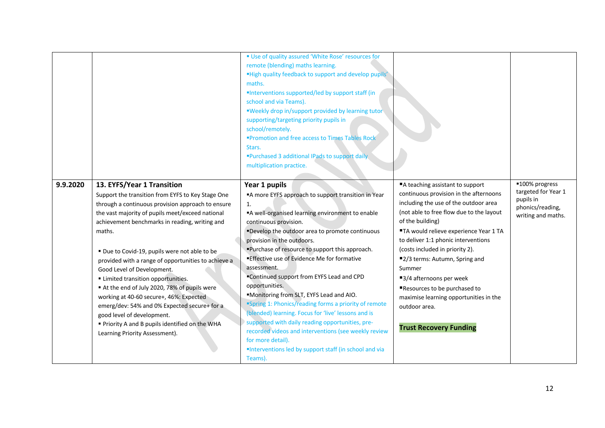|                                                                                                                                                                                                                                                                                                                                                                                                                                                                                                                                                                                                                                                                                                                 | " Use of quality assured 'White Rose' resources for<br>remote (blending) maths learning.<br>"High quality feedback to support and develop pupils'<br>maths.<br>"Interventions supported/led by support staff (in<br>school and via Teams).<br>"Weekly drop in/support provided by learning tutor<br>supporting/targeting priority pupils in<br>school/remotely.<br>"Promotion and free access to Times Tables Rock<br>Stars.<br>"Purchased 3 additional IPads to support daily<br>multiplication practice.                                                                                                                                                                                                                                                                                |                                                                                                                                                                                                                                                                                                                                                                                                                                                                                                             |                                                                                              |
|-----------------------------------------------------------------------------------------------------------------------------------------------------------------------------------------------------------------------------------------------------------------------------------------------------------------------------------------------------------------------------------------------------------------------------------------------------------------------------------------------------------------------------------------------------------------------------------------------------------------------------------------------------------------------------------------------------------------|-------------------------------------------------------------------------------------------------------------------------------------------------------------------------------------------------------------------------------------------------------------------------------------------------------------------------------------------------------------------------------------------------------------------------------------------------------------------------------------------------------------------------------------------------------------------------------------------------------------------------------------------------------------------------------------------------------------------------------------------------------------------------------------------|-------------------------------------------------------------------------------------------------------------------------------------------------------------------------------------------------------------------------------------------------------------------------------------------------------------------------------------------------------------------------------------------------------------------------------------------------------------------------------------------------------------|----------------------------------------------------------------------------------------------|
| 9.9.2020<br>13. EYFS/Year 1 Transition<br>Support the transition from EYFS to Key Stage One<br>through a continuous provision approach to ensure<br>the vast majority of pupils meet/exceed national<br>achievement benchmarks in reading, writing and<br>maths.<br>" Due to Covid-19, pupils were not able to be<br>provided with a range of opportunities to achieve a<br>Good Level of Development.<br><b>Elmited transition opportunities.</b><br>At the end of July 2020, 78% of pupils were<br>working at 40-60 secure+, 46%: Expected<br>emerg/dev: 54% and 0% Expected secure+ for a<br>good level of development.<br>" Priority A and B pupils identified on the WHA<br>Learning Priority Assessment). | Year 1 pupils<br>A more EYFS approach to support transition in Year<br>1.<br>"A well-organised learning environment to enable<br>continuous provision.<br>"Develop the outdoor area to promote continuous<br>provision in the outdoors.<br>"Purchase of resource to support this approach.<br>"Effective use of Evidence Me for formative<br>assessment.<br>"Continued support from EYFS Lead and CPD<br>opportunities.<br>"Monitoring from SLT, EYFS Lead and AIO.<br>"Spring 1: Phonics/reading forms a priority of remote<br>(blended) learning. Focus for 'live' lessons and is<br>supported with daily reading opportunities, pre-<br>recorded videos and interventions (see weekly review<br>for more detail).<br>"Interventions led by support staff (in school and via<br>Teams). | ■A teaching assistant to support<br>continuous provision in the afternoons<br>including the use of the outdoor area<br>(not able to free flow due to the layout<br>of the building)<br>"TA would relieve experience Year 1 TA<br>to deliver 1:1 phonic interventions<br>(costs included in priority 2).<br>■2/3 terms: Autumn, Spring and<br>Summer<br>■3/4 afternoons per week<br>Resources to be purchased to<br>maximise learning opportunities in the<br>outdoor area.<br><b>Trust Recovery Funding</b> | ■100% progress<br>targeted for Year 1<br>pupils in<br>phonics/reading,<br>writing and maths. |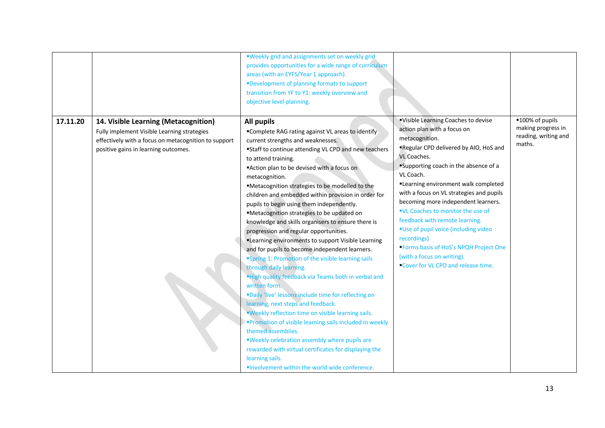|          |                                                                                                                                                                                     | "Weekly grid and assignments set on weekly grid<br>provides opportunities for a wide range of curriculum<br>areas (with an EYFS/Year 1 approach).<br>"Development of planning formats to support<br>transition from YF to Y1: weekly overview and<br>objective level planning.                                                                                                                                                                                                                                                                                                                                                                                                                                                                                                                                                                                                                                                                                                                                                                                                                                                                                                                                                                       |                                                                                                                                                                                                                                                                                                                                                                                                                                                                                                                                                                            |                                                                         |
|----------|-------------------------------------------------------------------------------------------------------------------------------------------------------------------------------------|------------------------------------------------------------------------------------------------------------------------------------------------------------------------------------------------------------------------------------------------------------------------------------------------------------------------------------------------------------------------------------------------------------------------------------------------------------------------------------------------------------------------------------------------------------------------------------------------------------------------------------------------------------------------------------------------------------------------------------------------------------------------------------------------------------------------------------------------------------------------------------------------------------------------------------------------------------------------------------------------------------------------------------------------------------------------------------------------------------------------------------------------------------------------------------------------------------------------------------------------------|----------------------------------------------------------------------------------------------------------------------------------------------------------------------------------------------------------------------------------------------------------------------------------------------------------------------------------------------------------------------------------------------------------------------------------------------------------------------------------------------------------------------------------------------------------------------------|-------------------------------------------------------------------------|
| 17.11.20 | 14. Visible Learning (Metacognition)<br>Fully implement Visible Learning strategies<br>effectively with a focus on metacognition to support<br>positive gains in learning outcomes. | <b>All pupils</b><br>"Complete RAG rating against VL areas to identify<br>current strengths and weaknesses.<br>"Staff to continue attending VL CPD and new teachers<br>to attend training.<br>"Action plan to be devised with a focus on<br>metacognition.<br>"Metacognition strategies to be modelled to the<br>children and embedded within provision in order for<br>pupils to begin using them independently.<br>■Metacognition strategies to be updated on<br>knowledge and skills organisers to ensure there is<br>progression and regular opportunities.<br>"Learning environments to support Visible Learning<br>and for pupils to become independent learners.<br>"Spring 1: Promotion of the visible learning sails<br>through daily learning.<br>"High quality feedback via Teams both in verbal and<br>written form.<br>"Daily 'live' lessons include time for reflecting on<br>learning, next steps and feedback.<br>"Weekly reflection time on visible learning sails.<br>"Promotion of visible learning sails included in weekly<br>themed assemblies.<br>"Weekly celebration assembly where pupils are<br>rewarded with virtual certificates for displaying the<br>learning sails.<br>"Involvement within the world wide conference. | "Visible Learning Coaches to devise<br>action plan with a focus on<br>metacognition.<br>"Regular CPD delivered by AIO, HoS and<br>VL Coaches.<br>Supporting coach in the absence of a<br>VL Coach.<br>"Learning environment walk completed<br>with a focus on VL strategies and pupils<br>becoming more independent learners.<br>"VL Coaches to monitor the use of<br>feedback with remote learning.<br>"Use of pupil voice (including video<br>recordings).<br>"Forms basis of HoS's NPQH Project One<br>(with a focus on writing).<br>Cover for VL CPD and release time. | ■100% of pupils<br>making progress in<br>reading, writing and<br>maths. |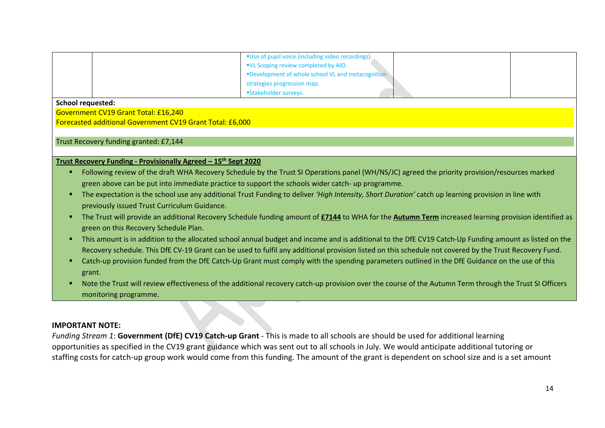| ■ Use of pupil voice (including video recordings).<br>"VL Scoping review completed by AIO.<br>■Development of whole school VL and metacognition<br>strategies progression map. |  |
|--------------------------------------------------------------------------------------------------------------------------------------------------------------------------------|--|
| <b>Stakeholder surveys.</b>                                                                                                                                                    |  |

#### **School requested:**

Government CV19 Grant Total: £16,240 Forecasted additional Government CV19 Grant Total: £6,000

# Trust Recovery funding granted: £7,144

## **Trust Recovery Funding - Provisionally Agreed – 15th Sept 2020**

- § Following review of the draft WHA Recovery Schedule by the Trust SI Operations panel (WH/NS/JC) agreed the priority provision/resources marked green above can be put into immediate practice to support the schools wider catch- up programme.
- § The expectation is the school use any additional Trust Funding to deliver *'High Intensity, Short Duration'* catch up learning provision in line with previously issued Trust Curriculum Guidance.
- § The Trust will provide an additional Recovery Schedule funding amount of **£7144** to WHA for the **Autumn Term** increased learning provision identified as green on this Recovery Schedule Plan.
- § This amount is in addition to the allocated school annual budget and income and is additional to the DfE CV19 Catch-Up Funding amount as listed on the Recovery schedule. This DfE CV-19 Grant can be used to fulfil any additional provision listed on this schedule not covered by the Trust Recovery Fund.
- Catch-up provision funded from the DfE Catch-Up Grant must comply with the spending parameters outlined in the DfE Guidance on the use of this grant.
- Note the Trust will review effectiveness of the additional recovery catch-up provision over the course of the Autumn Term through the Trust SI Officers monitoring programme.

# **IMPORTANT NOTE:**

*Funding Stream 1*: **Government (DfE) CV19 Catch-up Grant** - This is made to all schools are should be used for additional learning opportunities as specified in the CV19 grant guidance which was sent out to all schools in July. We would anticipate additional tutoring or staffing costs for catch-up group work would come from this funding. The amount of the grant is dependent on school size and is a set amount